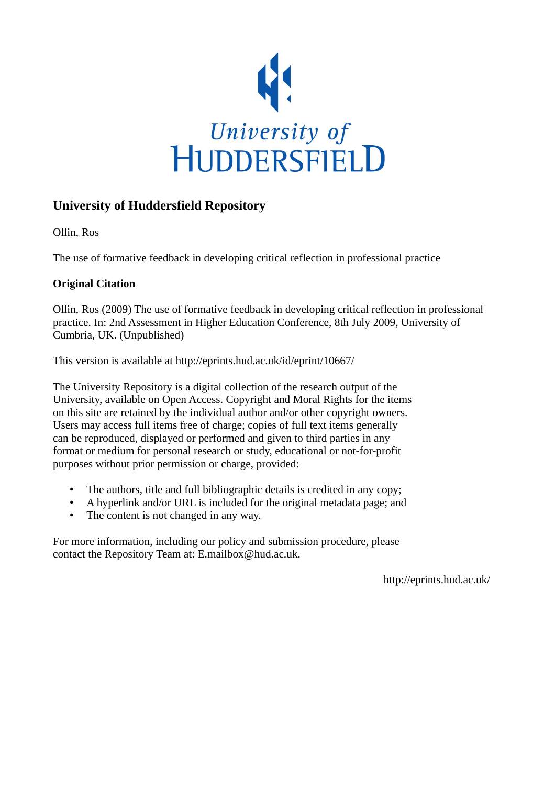

# **University of Huddersfield Repository**

Ollin, Ros

The use of formative feedback in developing critical reflection in professional practice

## **Original Citation**

Ollin, Ros (2009) The use of formative feedback in developing critical reflection in professional practice. In: 2nd Assessment in Higher Education Conference, 8th July 2009, University of Cumbria, UK. (Unpublished)

This version is available at http://eprints.hud.ac.uk/id/eprint/10667/

The University Repository is a digital collection of the research output of the University, available on Open Access. Copyright and Moral Rights for the items on this site are retained by the individual author and/or other copyright owners. Users may access full items free of charge; copies of full text items generally can be reproduced, displayed or performed and given to third parties in any format or medium for personal research or study, educational or not-for-profit purposes without prior permission or charge, provided:

- The authors, title and full bibliographic details is credited in any copy;
- A hyperlink and/or URL is included for the original metadata page; and
- The content is not changed in any way.

For more information, including our policy and submission procedure, please contact the Repository Team at: E.mailbox@hud.ac.uk.

http://eprints.hud.ac.uk/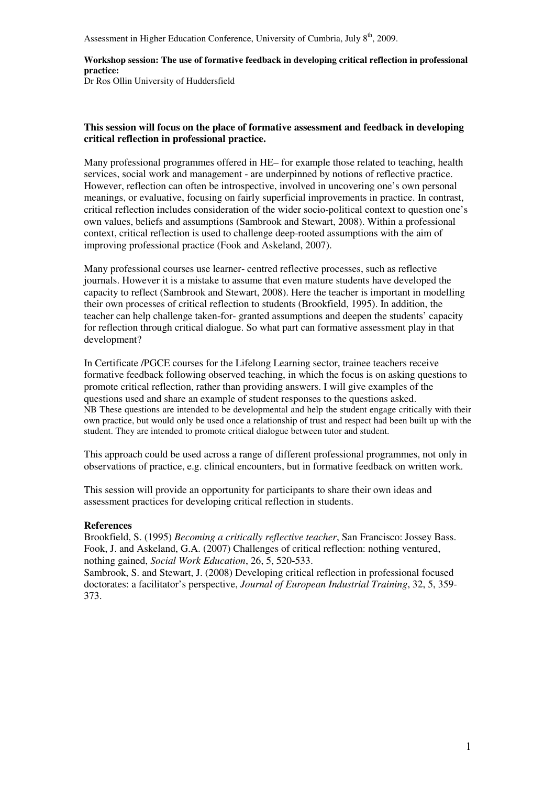Assessment in Higher Education Conference, University of Cumbria, July  $8<sup>th</sup>$ , 2009.

## **Workshop session: The use of formative feedback in developing critical reflection in professional practice:**

Dr Ros Ollin University of Huddersfield

## **This session will focus on the place of formative assessment and feedback in developing critical reflection in professional practice.**

Many professional programmes offered in HE– for example those related to teaching, health services, social work and management - are underpinned by notions of reflective practice. However, reflection can often be introspective, involved in uncovering one's own personal meanings, or evaluative, focusing on fairly superficial improvements in practice. In contrast, critical reflection includes consideration of the wider socio-political context to question one's own values, beliefs and assumptions (Sambrook and Stewart, 2008). Within a professional context, critical reflection is used to challenge deep-rooted assumptions with the aim of improving professional practice (Fook and Askeland, 2007).

Many professional courses use learner- centred reflective processes, such as reflective journals. However it is a mistake to assume that even mature students have developed the capacity to reflect (Sambrook and Stewart, 2008). Here the teacher is important in modelling their own processes of critical reflection to students (Brookfield, 1995). In addition, the teacher can help challenge taken-for- granted assumptions and deepen the students' capacity for reflection through critical dialogue. So what part can formative assessment play in that development?

In Certificate /PGCE courses for the Lifelong Learning sector, trainee teachers receive formative feedback following observed teaching, in which the focus is on asking questions to promote critical reflection, rather than providing answers. I will give examples of the questions used and share an example of student responses to the questions asked. NB These questions are intended to be developmental and help the student engage critically with their own practice, but would only be used once a relationship of trust and respect had been built up with the student. They are intended to promote critical dialogue between tutor and student.

This approach could be used across a range of different professional programmes, not only in observations of practice, e.g. clinical encounters, but in formative feedback on written work.

This session will provide an opportunity for participants to share their own ideas and assessment practices for developing critical reflection in students.

## **References**

Brookfield, S. (1995) *Becoming a critically reflective teacher*, San Francisco: Jossey Bass. Fook, J. and Askeland, G.A. (2007) Challenges of critical reflection: nothing ventured, nothing gained, *Social Work Education*, 26, 5, 520-533.

Sambrook, S. and Stewart, J. (2008) Developing critical reflection in professional focused doctorates: a facilitator's perspective, *Journal of European Industrial Training*, 32, 5, 359- 373.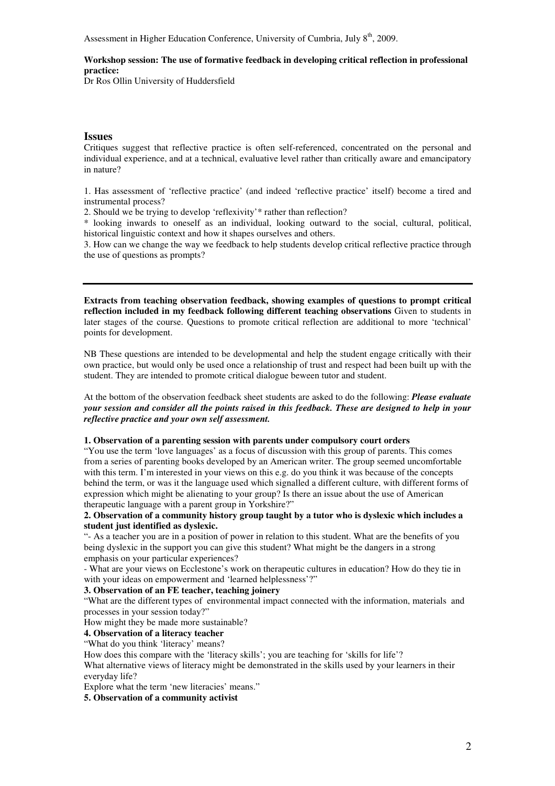Assessment in Higher Education Conference, University of Cumbria, July  $8<sup>th</sup>$ , 2009.

#### **Workshop session: The use of formative feedback in developing critical reflection in professional practice:**

Dr Ros Ollin University of Huddersfield

#### **Issues**

Critiques suggest that reflective practice is often self-referenced, concentrated on the personal and individual experience, and at a technical, evaluative level rather than critically aware and emancipatory in nature?

1. Has assessment of 'reflective practice' (and indeed 'reflective practice' itself) become a tired and instrumental process?

2. Should we be trying to develop 'reflexivity'\* rather than reflection?

\* looking inwards to oneself as an individual, looking outward to the social, cultural, political, historical linguistic context and how it shapes ourselves and others.

3. How can we change the way we feedback to help students develop critical reflective practice through the use of questions as prompts?

**Extracts from teaching observation feedback, showing examples of questions to prompt critical reflection included in my feedback following different teaching observations** Given to students in later stages of the course. Questions to promote critical reflection are additional to more 'technical' points for development.

NB These questions are intended to be developmental and help the student engage critically with their own practice, but would only be used once a relationship of trust and respect had been built up with the student. They are intended to promote critical dialogue beween tutor and student.

At the bottom of the observation feedback sheet students are asked to do the following: *Please evaluate your session and consider all the points raised in this feedback. These are designed to help in your reflective practice and your own self assessment.*

#### **1. Observation of a parenting session with parents under compulsory court orders**

"You use the term 'love languages' as a focus of discussion with this group of parents. This comes from a series of parenting books developed by an American writer. The group seemed uncomfortable with this term. I'm interested in your views on this e.g. do you think it was because of the concepts behind the term, or was it the language used which signalled a different culture, with different forms of expression which might be alienating to your group? Is there an issue about the use of American therapeutic language with a parent group in Yorkshire?"

**2. Observation of a community history group taught by a tutor who is dyslexic which includes a student just identified as dyslexic.** 

"- As a teacher you are in a position of power in relation to this student. What are the benefits of you being dyslexic in the support you can give this student? What might be the dangers in a strong emphasis on your particular experiences?

- What are your views on Ecclestone's work on therapeutic cultures in education? How do they tie in with your ideas on empowerment and 'learned helplessness'?"

#### **3. Observation of an FE teacher, teaching joinery**

"What are the different types of environmental impact connected with the information, materials and processes in your session today?"

How might they be made more sustainable?

**4. Observation of a literacy teacher** 

"What do you think 'literacy' means?

How does this compare with the 'literacy skills'; you are teaching for 'skills for life'?

What alternative views of literacy might be demonstrated in the skills used by your learners in their everyday life?

Explore what the term 'new literacies' means."

**5. Observation of a community activist**